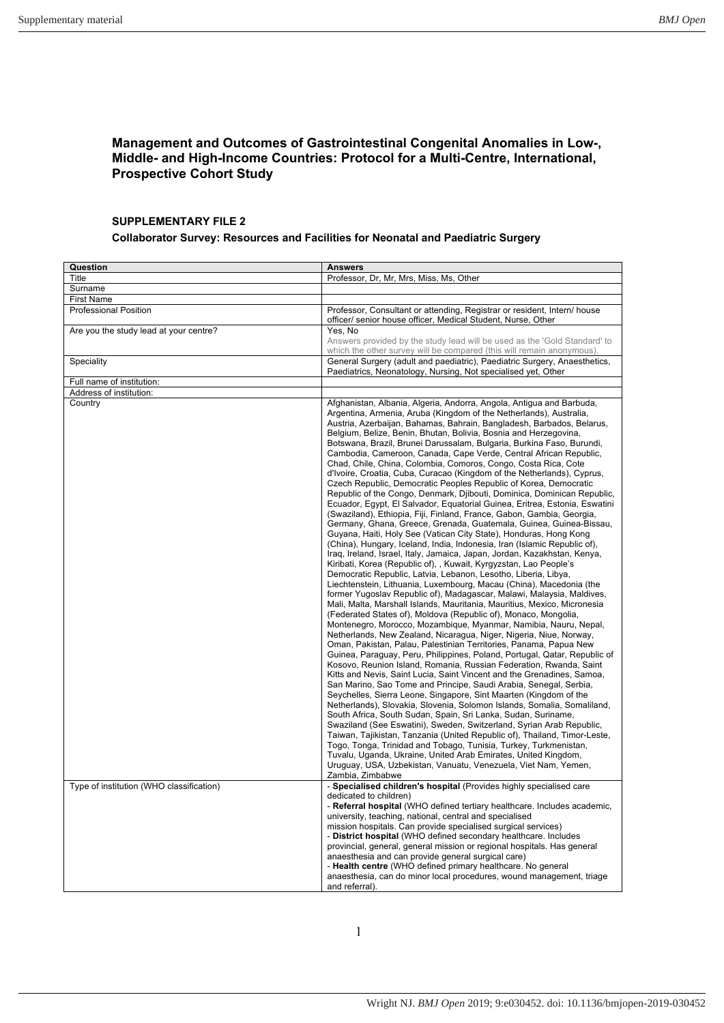## **Management and Outcomes of Gastrointestinal Congenital Anomalies in Low-, Middle- and High-Income Countries: Protocol for a Multi-Centre, International, Prospective Cohort Study**

## **SUPPLEMENTARY FILE 2**

## **Collaborator Survey: Resources and Facilities for Neonatal and Paediatric Surgery**

| Question                                 | <b>Answers</b>                                                                                                                                                                                                                                                                                                                                                                                                                                                                                                                                                                                                                                                                                                                                                                                                                                                                                                                                                                                                                                                                                                                                                                                                                                                                                                                                                                                                                                                                                                                                                                                                                                                                                                                                                                                                                                                                                                                                                                                                                                                                                                                                                                                                                                                                                                                                                                                                                                                                                                                                                                                                                                                                                                                                      |
|------------------------------------------|-----------------------------------------------------------------------------------------------------------------------------------------------------------------------------------------------------------------------------------------------------------------------------------------------------------------------------------------------------------------------------------------------------------------------------------------------------------------------------------------------------------------------------------------------------------------------------------------------------------------------------------------------------------------------------------------------------------------------------------------------------------------------------------------------------------------------------------------------------------------------------------------------------------------------------------------------------------------------------------------------------------------------------------------------------------------------------------------------------------------------------------------------------------------------------------------------------------------------------------------------------------------------------------------------------------------------------------------------------------------------------------------------------------------------------------------------------------------------------------------------------------------------------------------------------------------------------------------------------------------------------------------------------------------------------------------------------------------------------------------------------------------------------------------------------------------------------------------------------------------------------------------------------------------------------------------------------------------------------------------------------------------------------------------------------------------------------------------------------------------------------------------------------------------------------------------------------------------------------------------------------------------------------------------------------------------------------------------------------------------------------------------------------------------------------------------------------------------------------------------------------------------------------------------------------------------------------------------------------------------------------------------------------------------------------------------------------------------------------------------------------|
| Title                                    | Professor, Dr, Mr, Mrs, Miss, Ms, Other                                                                                                                                                                                                                                                                                                                                                                                                                                                                                                                                                                                                                                                                                                                                                                                                                                                                                                                                                                                                                                                                                                                                                                                                                                                                                                                                                                                                                                                                                                                                                                                                                                                                                                                                                                                                                                                                                                                                                                                                                                                                                                                                                                                                                                                                                                                                                                                                                                                                                                                                                                                                                                                                                                             |
| Surname                                  |                                                                                                                                                                                                                                                                                                                                                                                                                                                                                                                                                                                                                                                                                                                                                                                                                                                                                                                                                                                                                                                                                                                                                                                                                                                                                                                                                                                                                                                                                                                                                                                                                                                                                                                                                                                                                                                                                                                                                                                                                                                                                                                                                                                                                                                                                                                                                                                                                                                                                                                                                                                                                                                                                                                                                     |
| <b>First Name</b>                        |                                                                                                                                                                                                                                                                                                                                                                                                                                                                                                                                                                                                                                                                                                                                                                                                                                                                                                                                                                                                                                                                                                                                                                                                                                                                                                                                                                                                                                                                                                                                                                                                                                                                                                                                                                                                                                                                                                                                                                                                                                                                                                                                                                                                                                                                                                                                                                                                                                                                                                                                                                                                                                                                                                                                                     |
| <b>Professional Position</b>             | Professor, Consultant or attending, Registrar or resident, Intern/house<br>officer/ senior house officer, Medical Student, Nurse, Other                                                                                                                                                                                                                                                                                                                                                                                                                                                                                                                                                                                                                                                                                                                                                                                                                                                                                                                                                                                                                                                                                                                                                                                                                                                                                                                                                                                                                                                                                                                                                                                                                                                                                                                                                                                                                                                                                                                                                                                                                                                                                                                                                                                                                                                                                                                                                                                                                                                                                                                                                                                                             |
| Are you the study lead at your centre?   | Yes, No<br>Answers provided by the study lead will be used as the 'Gold Standard' to<br>which the other survey will be compared (this will remain anonymous).                                                                                                                                                                                                                                                                                                                                                                                                                                                                                                                                                                                                                                                                                                                                                                                                                                                                                                                                                                                                                                                                                                                                                                                                                                                                                                                                                                                                                                                                                                                                                                                                                                                                                                                                                                                                                                                                                                                                                                                                                                                                                                                                                                                                                                                                                                                                                                                                                                                                                                                                                                                       |
| Speciality                               | General Surgery (adult and paediatric), Paediatric Surgery, Anaesthetics,<br>Paediatrics, Neonatology, Nursing, Not specialised yet, Other                                                                                                                                                                                                                                                                                                                                                                                                                                                                                                                                                                                                                                                                                                                                                                                                                                                                                                                                                                                                                                                                                                                                                                                                                                                                                                                                                                                                                                                                                                                                                                                                                                                                                                                                                                                                                                                                                                                                                                                                                                                                                                                                                                                                                                                                                                                                                                                                                                                                                                                                                                                                          |
| Full name of institution:                |                                                                                                                                                                                                                                                                                                                                                                                                                                                                                                                                                                                                                                                                                                                                                                                                                                                                                                                                                                                                                                                                                                                                                                                                                                                                                                                                                                                                                                                                                                                                                                                                                                                                                                                                                                                                                                                                                                                                                                                                                                                                                                                                                                                                                                                                                                                                                                                                                                                                                                                                                                                                                                                                                                                                                     |
| Address of institution:                  |                                                                                                                                                                                                                                                                                                                                                                                                                                                                                                                                                                                                                                                                                                                                                                                                                                                                                                                                                                                                                                                                                                                                                                                                                                                                                                                                                                                                                                                                                                                                                                                                                                                                                                                                                                                                                                                                                                                                                                                                                                                                                                                                                                                                                                                                                                                                                                                                                                                                                                                                                                                                                                                                                                                                                     |
| Country                                  | Afghanistan, Albania, Algeria, Andorra, Angola, Antigua and Barbuda,<br>Argentina, Armenia, Aruba (Kingdom of the Netherlands), Australia,<br>Austria, Azerbaijan, Bahamas, Bahrain, Bangladesh, Barbados, Belarus,<br>Belgium, Belize, Benin, Bhutan, Bolivia, Bosnia and Herzegovina,<br>Botswana, Brazil, Brunei Darussalam, Bulgaria, Burkina Faso, Burundi,<br>Cambodia, Cameroon, Canada, Cape Verde, Central African Republic,<br>Chad, Chile, China, Colombia, Comoros, Congo, Costa Rica, Cote<br>d'Ivoire, Croatia, Cuba, Curacao (Kingdom of the Netherlands), Cyprus,<br>Czech Republic, Democratic Peoples Republic of Korea, Democratic<br>Republic of the Congo, Denmark, Djibouti, Dominica, Dominican Republic,<br>Ecuador, Eqypt, El Salvador, Equatorial Guinea, Eritrea, Estonia, Eswatini<br>(Swaziland), Ethiopia, Fiji, Finland, France, Gabon, Gambia, Georgia,<br>Germany, Ghana, Greece, Grenada, Guatemala, Guinea, Guinea-Bissau,<br>Guyana, Haiti, Holy See (Vatican City State), Honduras, Hong Kong<br>(China), Hungary, Iceland, India, Indonesia, Iran (Islamic Republic of),<br>Iraq, Ireland, Israel, Italy, Jamaica, Japan, Jordan, Kazakhstan, Kenya,<br>Kiribati, Korea (Republic of), , Kuwait, Kyrgyzstan, Lao People's<br>Democratic Republic, Latvia, Lebanon, Lesotho, Liberia, Libya,<br>Liechtenstein, Lithuania, Luxembourg, Macau (China), Macedonia (the<br>former Yugoslav Republic of), Madagascar, Malawi, Malaysia, Maldives,<br>Mali, Malta, Marshall Islands, Mauritania, Mauritius, Mexico, Micronesia<br>(Federated States of), Moldova (Republic of), Monaco, Mongolia,<br>Montenegro, Morocco, Mozambique, Myanmar, Namibia, Nauru, Nepal,<br>Netherlands, New Zealand, Nicaragua, Niger, Nigeria, Niue, Norway,<br>Oman, Pakistan, Palau, Palestinian Territories, Panama, Papua New<br>Guinea, Paraguay, Peru, Philippines, Poland, Portugal, Qatar, Republic of<br>Kosovo, Reunion Island, Romania, Russian Federation, Rwanda, Saint<br>Kitts and Nevis, Saint Lucia, Saint Vincent and the Grenadines, Samoa,<br>San Marino, Sao Tome and Principe, Saudi Arabia, Senegal, Serbia,<br>Seychelles, Sierra Leone, Singapore, Sint Maarten (Kingdom of the<br>Netherlands), Slovakia, Slovenia, Solomon Islands, Somalia, Somaliland,<br>South Africa, South Sudan, Spain, Sri Lanka, Sudan, Suriname,<br>Swaziland (See Eswatini), Sweden, Switzerland, Syrian Arab Republic,<br>Taiwan, Tajikistan, Tanzania (United Republic of), Thailand, Timor-Leste,<br>Togo, Tonga, Trinidad and Tobago, Tunisia, Turkey, Turkmenistan,<br>Tuvalu, Uganda, Ukraine, United Arab Emirates, United Kingdom,<br>Uruguay, USA, Uzbekistan, Vanuatu, Venezuela, Viet Nam, Yemen,<br>Zambia, Zimbabwe |
| Type of institution (WHO classification) | - Specialised children's hospital (Provides highly specialised care<br>dedicated to children)<br>- Referral hospital (WHO defined tertiary healthcare. Includes academic,<br>university, teaching, national, central and specialised<br>mission hospitals. Can provide specialised surgical services)<br>- District hospital (WHO defined secondary healthcare. Includes<br>provincial, general, general mission or regional hospitals. Has general<br>anaesthesia and can provide general surgical care)<br>- Health centre (WHO defined primary healthcare. No general<br>anaesthesia, can do minor local procedures, wound management, triage<br>and referral).                                                                                                                                                                                                                                                                                                                                                                                                                                                                                                                                                                                                                                                                                                                                                                                                                                                                                                                                                                                                                                                                                                                                                                                                                                                                                                                                                                                                                                                                                                                                                                                                                                                                                                                                                                                                                                                                                                                                                                                                                                                                                  |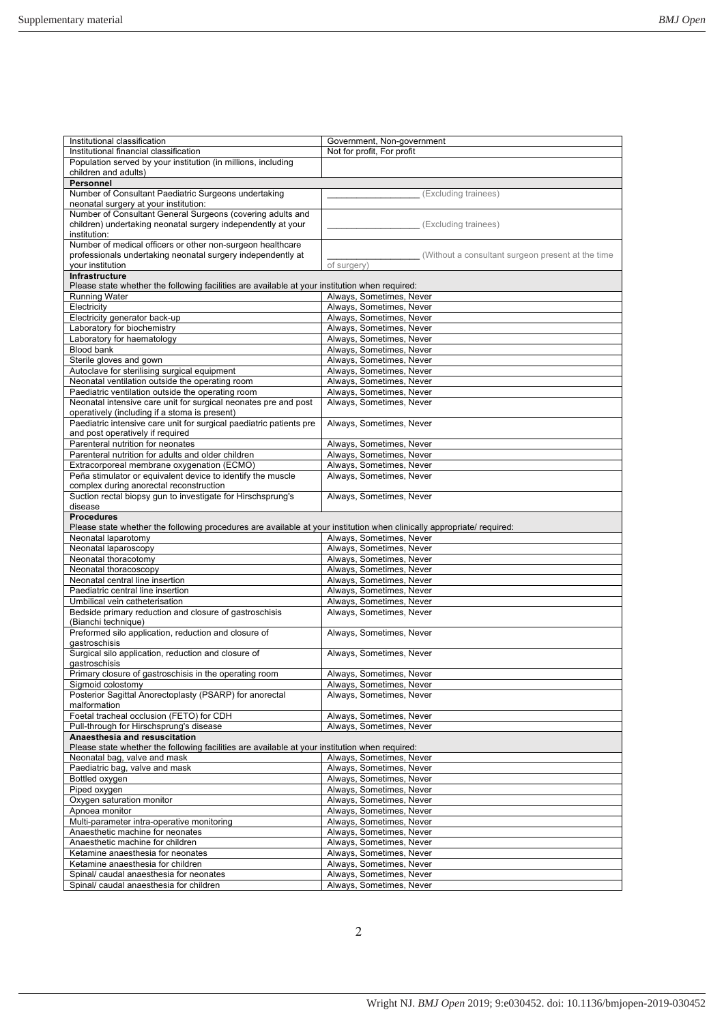| Institutional classification                                                                                           | Government, Non-government                           |
|------------------------------------------------------------------------------------------------------------------------|------------------------------------------------------|
| Institutional financial classification                                                                                 | Not for profit, For profit                           |
|                                                                                                                        |                                                      |
| Population served by your institution (in millions, including                                                          |                                                      |
| children and adults)                                                                                                   |                                                      |
| Personnel                                                                                                              |                                                      |
| Number of Consultant Paediatric Surgeons undertaking                                                                   | (Excluding trainees)                                 |
| neonatal surgery at your institution:                                                                                  |                                                      |
|                                                                                                                        |                                                      |
| Number of Consultant General Surgeons (covering adults and                                                             |                                                      |
| children) undertaking neonatal surgery independently at your                                                           | (Excluding trainees)                                 |
| institution:                                                                                                           |                                                      |
| Number of medical officers or other non-surgeon healthcare                                                             |                                                      |
| professionals undertaking neonatal surgery independently at                                                            | (Without a consultant surgeon present at the time    |
| your institution                                                                                                       | of surgery)                                          |
|                                                                                                                        |                                                      |
| Infrastructure                                                                                                         |                                                      |
| Please state whether the following facilities are available at your institution when required:                         |                                                      |
| <b>Running Water</b>                                                                                                   | Always, Sometimes, Never                             |
| Electricity                                                                                                            | Always, Sometimes, Never                             |
| Electricity generator back-up                                                                                          | Always, Sometimes, Never                             |
|                                                                                                                        |                                                      |
| Laboratory for biochemistry                                                                                            | Always, Sometimes, Never                             |
| Laboratory for haematology                                                                                             | Always, Sometimes, Never                             |
| Blood bank                                                                                                             | Always, Sometimes, Never                             |
| Sterile gloves and gown                                                                                                | Always, Sometimes, Never                             |
| Autoclave for sterilising surgical equipment                                                                           | Always, Sometimes, Never                             |
|                                                                                                                        |                                                      |
| Neonatal ventilation outside the operating room                                                                        | Always, Sometimes, Never                             |
| Paediatric ventilation outside the operating room                                                                      | Always, Sometimes, Never                             |
| Neonatal intensive care unit for surgical neonates pre and post                                                        | Always, Sometimes, Never                             |
| operatively (including if a stoma is present)                                                                          |                                                      |
|                                                                                                                        |                                                      |
| Paediatric intensive care unit for surgical paediatric patients pre                                                    | Always, Sometimes, Never                             |
| and post operatively if required                                                                                       |                                                      |
| Parenteral nutrition for neonates                                                                                      | Always, Sometimes, Never                             |
| Parenteral nutrition for adults and older children                                                                     | Always, Sometimes, Never                             |
| Extracorporeal membrane oxygenation (ECMO)                                                                             | Always, Sometimes, Never                             |
|                                                                                                                        |                                                      |
| Peña stimulator or equivalent device to identify the muscle                                                            | Always, Sometimes, Never                             |
| complex during anorectal reconstruction                                                                                |                                                      |
| Suction rectal biopsy gun to investigate for Hirschsprung's                                                            | Always, Sometimes, Never                             |
| disease                                                                                                                |                                                      |
|                                                                                                                        |                                                      |
|                                                                                                                        |                                                      |
| <b>Procedures</b>                                                                                                      |                                                      |
| Please state whether the following procedures are available at your institution when clinically appropriate/ required: |                                                      |
| Neonatal laparotomy                                                                                                    | Always, Sometimes, Never                             |
| Neonatal laparoscopy                                                                                                   | Always, Sometimes, Never                             |
| Neonatal thoracotomy                                                                                                   | Always, Sometimes, Never                             |
|                                                                                                                        |                                                      |
| Neonatal thoracoscopy                                                                                                  | Always, Sometimes, Never                             |
| Neonatal central line insertion                                                                                        | Always, Sometimes, Never                             |
| Paediatric central line insertion                                                                                      | Always, Sometimes, Never                             |
| Umbilical vein catheterisation                                                                                         | Always, Sometimes, Never                             |
| Bedside primary reduction and closure of gastroschisis                                                                 | Always, Sometimes, Never                             |
| (Bianchi technique)                                                                                                    |                                                      |
|                                                                                                                        |                                                      |
| Preformed silo application, reduction and closure of                                                                   | Always, Sometimes, Never                             |
| gastroschisis                                                                                                          |                                                      |
| Surgical silo application, reduction and closure of                                                                    | Always, Sometimes, Never                             |
| gastroschisis                                                                                                          |                                                      |
| Primary closure of gastroschisis in the operating room                                                                 | Always, Sometimes, Never                             |
|                                                                                                                        |                                                      |
| Sigmoid colostomy                                                                                                      | Always, Sometimes, Never                             |
| Posterior Sagittal Anorectoplasty (PSARP) for anorectal                                                                | Always, Sometimes, Never                             |
| malformation                                                                                                           |                                                      |
| Foetal tracheal occlusion (FETO) for CDH                                                                               | Always, Sometimes, Never                             |
| Pull-through for Hirschsprung's disease                                                                                | Always, Sometimes, Never                             |
| Anaesthesia and resuscitation                                                                                          |                                                      |
|                                                                                                                        |                                                      |
| Please state whether the following facilities are available at your institution when required:                         |                                                      |
| Neonatal bag, valve and mask                                                                                           | Always, Sometimes, Never                             |
| Paediatric bag, valve and mask                                                                                         | Always, Sometimes, Never                             |
| Bottled oxygen                                                                                                         | Always, Sometimes, Never                             |
| Piped oxygen                                                                                                           | Always, Sometimes, Never                             |
|                                                                                                                        |                                                      |
| Oxygen saturation monitor                                                                                              | Always, Sometimes, Never                             |
| Apnoea monitor                                                                                                         | Always, Sometimes, Never                             |
| Multi-parameter intra-operative monitoring                                                                             | Always, Sometimes, Never                             |
| Anaesthetic machine for neonates                                                                                       | Always, Sometimes, Never                             |
| Anaesthetic machine for children                                                                                       | Always, Sometimes, Never                             |
| Ketamine anaesthesia for neonates                                                                                      | Always, Sometimes, Never                             |
|                                                                                                                        |                                                      |
| Ketamine anaesthesia for children                                                                                      | Always, Sometimes, Never                             |
| Spinal/ caudal anaesthesia for neonates<br>Spinal/ caudal anaesthesia for children                                     | Always, Sometimes, Never<br>Always, Sometimes, Never |